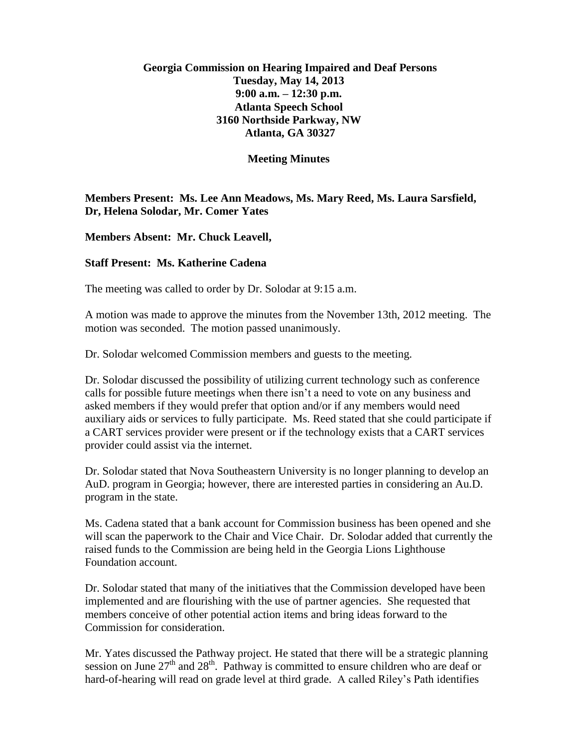## **Georgia Commission on Hearing Impaired and Deaf Persons Tuesday, May 14, 2013 9:00 a.m. – 12:30 p.m. Atlanta Speech School 3160 Northside Parkway, NW Atlanta, GA 30327**

## **Meeting Minutes**

**Members Present: Ms. Lee Ann Meadows, Ms. Mary Reed, Ms. Laura Sarsfield, Dr, Helena Solodar, Mr. Comer Yates**

**Members Absent: Mr. Chuck Leavell,** 

## **Staff Present: Ms. Katherine Cadena**

The meeting was called to order by Dr. Solodar at 9:15 a.m.

A motion was made to approve the minutes from the November 13th, 2012 meeting. The motion was seconded. The motion passed unanimously.

Dr. Solodar welcomed Commission members and guests to the meeting.

Dr. Solodar discussed the possibility of utilizing current technology such as conference calls for possible future meetings when there isn't a need to vote on any business and asked members if they would prefer that option and/or if any members would need auxiliary aids or services to fully participate. Ms. Reed stated that she could participate if a CART services provider were present or if the technology exists that a CART services provider could assist via the internet.

Dr. Solodar stated that Nova Southeastern University is no longer planning to develop an AuD. program in Georgia; however, there are interested parties in considering an Au.D. program in the state.

Ms. Cadena stated that a bank account for Commission business has been opened and she will scan the paperwork to the Chair and Vice Chair. Dr. Solodar added that currently the raised funds to the Commission are being held in the Georgia Lions Lighthouse Foundation account.

Dr. Solodar stated that many of the initiatives that the Commission developed have been implemented and are flourishing with the use of partner agencies. She requested that members conceive of other potential action items and bring ideas forward to the Commission for consideration.

Mr. Yates discussed the Pathway project. He stated that there will be a strategic planning session on June  $27<sup>th</sup>$  and  $28<sup>th</sup>$ . Pathway is committed to ensure children who are deaf or hard-of-hearing will read on grade level at third grade. A called Riley's Path identifies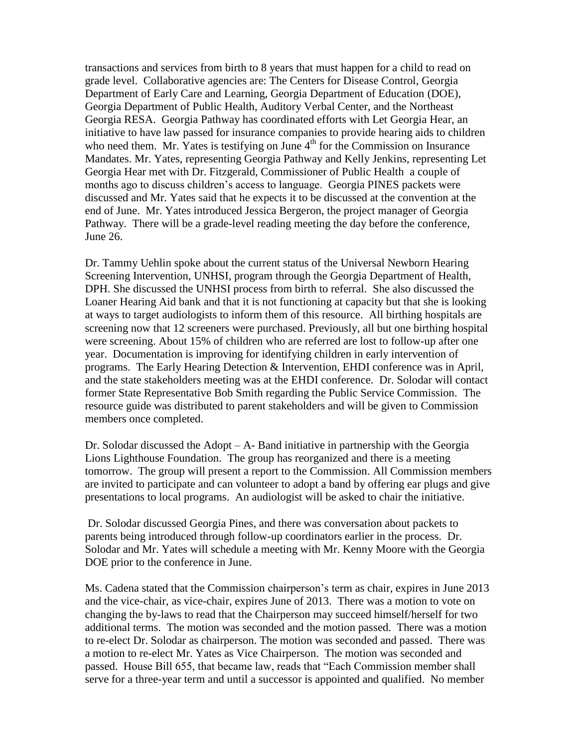transactions and services from birth to 8 years that must happen for a child to read on grade level. Collaborative agencies are: The Centers for Disease Control, Georgia Department of Early Care and Learning, Georgia Department of Education (DOE), Georgia Department of Public Health, Auditory Verbal Center, and the Northeast Georgia RESA. Georgia Pathway has coordinated efforts with Let Georgia Hear, an initiative to have law passed for insurance companies to provide hearing aids to children who need them. Mr. Yates is testifying on June  $4<sup>th</sup>$  for the Commission on Insurance Mandates. Mr. Yates, representing Georgia Pathway and Kelly Jenkins, representing Let Georgia Hear met with Dr. Fitzgerald, Commissioner of Public Health a couple of months ago to discuss children's access to language. Georgia PINES packets were discussed and Mr. Yates said that he expects it to be discussed at the convention at the end of June. Mr. Yates introduced Jessica Bergeron, the project manager of Georgia Pathway. There will be a grade-level reading meeting the day before the conference, June 26.

Dr. Tammy Uehlin spoke about the current status of the Universal Newborn Hearing Screening Intervention, UNHSI, program through the Georgia Department of Health, DPH. She discussed the UNHSI process from birth to referral. She also discussed the Loaner Hearing Aid bank and that it is not functioning at capacity but that she is looking at ways to target audiologists to inform them of this resource. All birthing hospitals are screening now that 12 screeners were purchased. Previously, all but one birthing hospital were screening. About 15% of children who are referred are lost to follow-up after one year. Documentation is improving for identifying children in early intervention of programs. The Early Hearing Detection & Intervention, EHDI conference was in April, and the state stakeholders meeting was at the EHDI conference. Dr. Solodar will contact former State Representative Bob Smith regarding the Public Service Commission. The resource guide was distributed to parent stakeholders and will be given to Commission members once completed.

Dr. Solodar discussed the Adopt – A- Band initiative in partnership with the Georgia Lions Lighthouse Foundation. The group has reorganized and there is a meeting tomorrow. The group will present a report to the Commission. All Commission members are invited to participate and can volunteer to adopt a band by offering ear plugs and give presentations to local programs. An audiologist will be asked to chair the initiative.

Dr. Solodar discussed Georgia Pines, and there was conversation about packets to parents being introduced through follow-up coordinators earlier in the process. Dr. Solodar and Mr. Yates will schedule a meeting with Mr. Kenny Moore with the Georgia DOE prior to the conference in June.

Ms. Cadena stated that the Commission chairperson's term as chair, expires in June 2013 and the vice-chair, as vice-chair, expires June of 2013. There was a motion to vote on changing the by-laws to read that the Chairperson may succeed himself/herself for two additional terms. The motion was seconded and the motion passed. There was a motion to re-elect Dr. Solodar as chairperson. The motion was seconded and passed. There was a motion to re-elect Mr. Yates as Vice Chairperson. The motion was seconded and passed. House Bill 655, that became law, reads that "Each Commission member shall serve for a three-year term and until a successor is appointed and qualified. No member